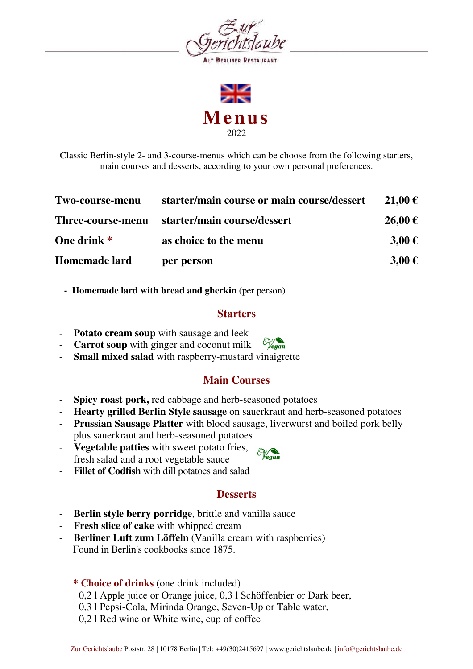





Classic Berlin-style 2- and 3-course-menus which can be choose from the following starters, main courses and desserts, according to your own personal preferences.

| Two-course-menu   | starter/main course or main course/dessert | 21.00€     |
|-------------------|--------------------------------------------|------------|
| Three-course-menu | starter/main course/dessert                | 26,00€     |
| One drink *       | as choice to the menu                      | $3,00 \in$ |
| Homemade lard     | per person                                 | $3,00 \in$ |

 **- Homemade lard with bread and gherkin** (per person)

#### **Starters**

- **Potato cream soup** with sausage and leek
- **Carrot soup** with ginger and coconut milk
- Small mixed salad with raspberry-mustard vinaigrette

#### **Main Courses**

- **Spicy roast pork,** red cabbage and herb-seasoned potatoes
- **Hearty grilled Berlin Style sausage** on sauerkraut and herb-seasoned potatoes
- **Prussian Sausage Platter** with blood sausage, liverwurst and boiled pork belly plus sauerkraut and herb-seasoned potatoes
- **Vegetable patties** with sweet potato fries, fresh salad and a root vegetable sauce
- **Fillet of Codfish** with dill potatoes and salad

#### **Desserts**

- **Berlin style berry porridge**, brittle and vanilla sauce
- **Fresh slice of cake** with whipped cream
- **Berliner Luft zum Löffeln** (Vanilla cream with raspberries) Found in Berlin's cookbooks since 1875.

#### **\* Choice of drinks** (one drink included)

- 0,2 l Apple juice or Orange juice, 0,3 l Schöffenbier or Dark beer,
- 0,3 l Pepsi-Cola, Mirinda Orange, Seven-Up or Table water,
- 0,2 l Red wine or White wine, cup of coffee

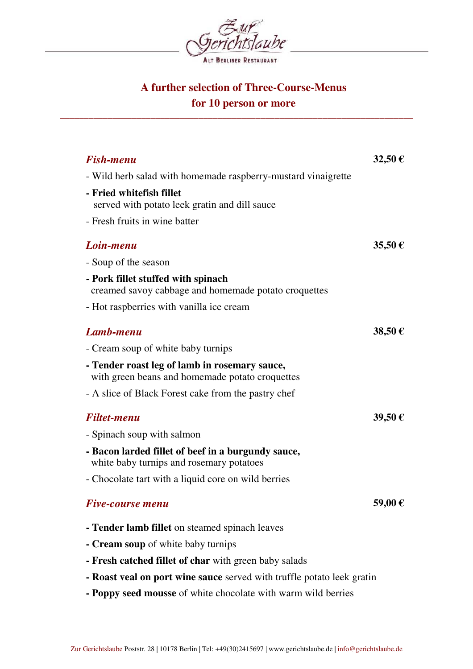

# **A further selection of Three-Course-Menus for 10 person or more**

\_\_\_\_\_\_\_\_\_\_\_\_\_\_\_\_\_\_\_\_\_\_\_\_\_\_\_\_\_\_\_\_\_\_\_\_\_\_\_\_\_\_\_\_\_\_\_\_\_\_\_\_\_\_\_\_\_\_\_\_\_\_\_\_\_\_\_\_\_\_\_\_\_\_

| <b>Fish-menu</b>                                                                                 | 32,50€ |
|--------------------------------------------------------------------------------------------------|--------|
| - Wild herb salad with homemade raspberry-mustard vinaigrette                                    |        |
| - Fried whitefish fillet<br>served with potato leek gratin and dill sauce                        |        |
| - Fresh fruits in wine batter                                                                    |        |
| Loin-menu                                                                                        | 35,50€ |
| - Soup of the season                                                                             |        |
| - Pork fillet stuffed with spinach<br>creamed savoy cabbage and homemade potato croquettes       |        |
| - Hot raspberries with vanilla ice cream                                                         |        |
| Lamb-menu                                                                                        | 38,50€ |
| - Cream soup of white baby turnips                                                               |        |
| - Tender roast leg of lamb in rosemary sauce,<br>with green beans and homemade potato croquettes |        |
| - A slice of Black Forest cake from the pastry chef                                              |        |
| <b>Filtet-menu</b>                                                                               | 39,50€ |
| - Spinach soup with salmon                                                                       |        |
| - Bacon larded fillet of beef in a burgundy sauce,<br>white baby turnips and rosemary potatoes   |        |
| - Chocolate tart with a liquid core on wild berries                                              |        |
| <b>Five-course menu</b>                                                                          | 59,00€ |
| - Tender lamb fillet on steamed spinach leaves                                                   |        |
| - Cream soup of white baby turnips                                                               |        |
| - Fresh catched fillet of char with green baby salads                                            |        |
| - Roast veal on port wine sauce served with truffle potato leek gratin                           |        |
| - Poppy seed mousse of white chocolate with warm wild berries                                    |        |